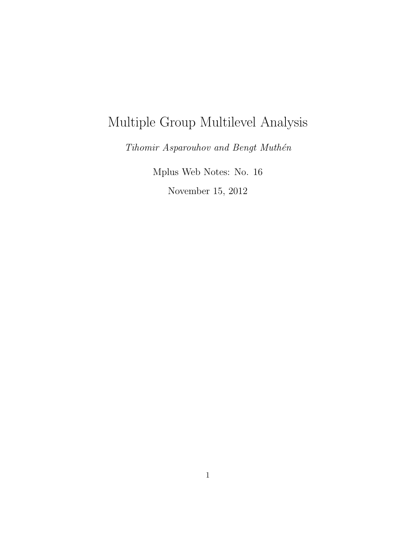# Multiple Group Multilevel Analysis

 $\emph{Tihomir Asparouhov and Bengt Muth\'en}$ 

Mplus Web Notes: No. 16

November 15, 2012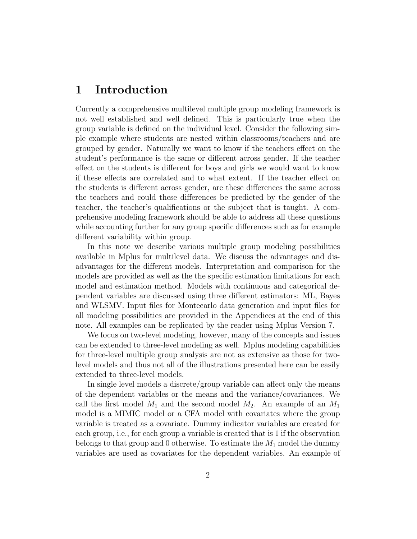#### 1 Introduction

Currently a comprehensive multilevel multiple group modeling framework is not well established and well defined. This is particularly true when the group variable is defined on the individual level. Consider the following simple example where students are nested within classrooms/teachers and are grouped by gender. Naturally we want to know if the teachers effect on the student's performance is the same or different across gender. If the teacher effect on the students is different for boys and girls we would want to know if these effects are correlated and to what extent. If the teacher effect on the students is different across gender, are these differences the same across the teachers and could these differences be predicted by the gender of the teacher, the teacher's qualifications or the subject that is taught. A comprehensive modeling framework should be able to address all these questions while accounting further for any group specific differences such as for example different variability within group.

In this note we describe various multiple group modeling possibilities available in Mplus for multilevel data. We discuss the advantages and disadvantages for the different models. Interpretation and comparison for the models are provided as well as the the specific estimation limitations for each model and estimation method. Models with continuous and categorical dependent variables are discussed using three different estimators: ML, Bayes and WLSMV. Input files for Montecarlo data generation and input files for all modeling possibilities are provided in the Appendices at the end of this note. All examples can be replicated by the reader using Mplus Version 7.

We focus on two-level modeling, however, many of the concepts and issues can be extended to three-level modeling as well. Mplus modeling capabilities for three-level multiple group analysis are not as extensive as those for twolevel models and thus not all of the illustrations presented here can be easily extended to three-level models.

In single level models a discrete/group variable can affect only the means of the dependent variables or the means and the variance/covariances. We call the first model  $M_1$  and the second model  $M_2$ . An example of an  $M_1$ model is a MIMIC model or a CFA model with covariates where the group variable is treated as a covariate. Dummy indicator variables are created for each group, i.e., for each group a variable is created that is 1 if the observation belongs to that group and 0 otherwise. To estimate the  $M_1$  model the dummy variables are used as covariates for the dependent variables. An example of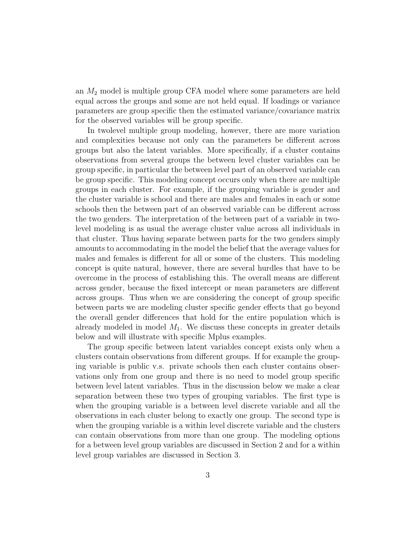an  $M_2$  model is multiple group CFA model where some parameters are held equal across the groups and some are not held equal. If loadings or variance parameters are group specific then the estimated variance/covariance matrix for the observed variables will be group specific.

In twolevel multiple group modeling, however, there are more variation and complexities because not only can the parameters be different across groups but also the latent variables. More specifically, if a cluster contains observations from several groups the between level cluster variables can be group specific, in particular the between level part of an observed variable can be group specific. This modeling concept occurs only when there are multiple groups in each cluster. For example, if the grouping variable is gender and the cluster variable is school and there are males and females in each or some schools then the between part of an observed variable can be different across the two genders. The interpretation of the between part of a variable in twolevel modeling is as usual the average cluster value across all individuals in that cluster. Thus having separate between parts for the two genders simply amounts to accommodating in the model the belief that the average values for males and females is different for all or some of the clusters. This modeling concept is quite natural, however, there are several hurdles that have to be overcome in the process of establishing this. The overall means are different across gender, because the fixed intercept or mean parameters are different across groups. Thus when we are considering the concept of group specific between parts we are modeling cluster specific gender effects that go beyond the overall gender differences that hold for the entire population which is already modeled in model  $M_1$ . We discuss these concepts in greater details below and will illustrate with specific Mplus examples.

The group specific between latent variables concept exists only when a clusters contain observations from different groups. If for example the grouping variable is public v.s. private schools then each cluster contains observations only from one group and there is no need to model group specific between level latent variables. Thus in the discussion below we make a clear separation between these two types of grouping variables. The first type is when the grouping variable is a between level discrete variable and all the observations in each cluster belong to exactly one group. The second type is when the grouping variable is a within level discrete variable and the clusters can contain observations from more than one group. The modeling options for a between level group variables are discussed in Section 2 and for a within level group variables are discussed in Section 3.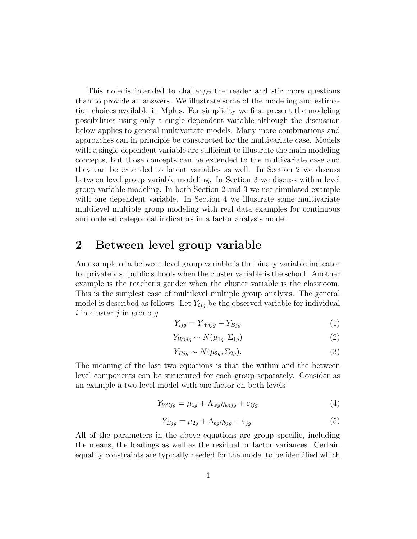This note is intended to challenge the reader and stir more questions than to provide all answers. We illustrate some of the modeling and estimation choices available in Mplus. For simplicity we first present the modeling possibilities using only a single dependent variable although the discussion below applies to general multivariate models. Many more combinations and approaches can in principle be constructed for the multivariate case. Models with a single dependent variable are sufficient to illustrate the main modeling concepts, but those concepts can be extended to the multivariate case and they can be extended to latent variables as well. In Section 2 we discuss between level group variable modeling. In Section 3 we discuss within level group variable modeling. In both Section 2 and 3 we use simulated example with one dependent variable. In Section 4 we illustrate some multivariate multilevel multiple group modeling with real data examples for continuous and ordered categorical indicators in a factor analysis model.

#### 2 Between level group variable

An example of a between level group variable is the binary variable indicator for private v.s. public schools when the cluster variable is the school. Another example is the teacher's gender when the cluster variable is the classroom. This is the simplest case of multilevel multiple group analysis. The general model is described as follows. Let  $Y_{ijq}$  be the observed variable for individual i in cluster j in group  $q$ 

$$
Y_{ijg} = Y_{Wijg} + Y_{Bjg} \tag{1}
$$

$$
Y_{Wijg} \sim N(\mu_{1g}, \Sigma_{1g})\tag{2}
$$

$$
Y_{Bjg} \sim N(\mu_{2g}, \Sigma_{2g}).\tag{3}
$$

The meaning of the last two equations is that the within and the between level components can be structured for each group separately. Consider as an example a two-level model with one factor on both levels

$$
Y_{Wijg} = \mu_{1g} + \Lambda_{wg} \eta_{wig} + \varepsilon_{ijg}
$$
\n<sup>(4)</sup>

$$
Y_{Bjg} = \mu_{2g} + \Lambda_{bg} \eta_{bjg} + \varepsilon_{jg}.
$$
\n<sup>(5)</sup>

All of the parameters in the above equations are group specific, including the means, the loadings as well as the residual or factor variances. Certain equality constraints are typically needed for the model to be identified which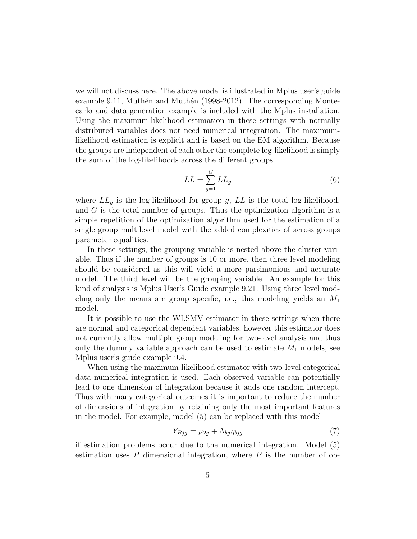we will not discuss here. The above model is illustrated in Mplus user's guide example 9.11, Muthén and Muthén  $(1998-2012)$ . The corresponding Montecarlo and data generation example is included with the Mplus installation. Using the maximum-likelihood estimation in these settings with normally distributed variables does not need numerical integration. The maximumlikelihood estimation is explicit and is based on the EM algorithm. Because the groups are independent of each other the complete log-likelihood is simply the sum of the log-likelihoods across the different groups

$$
LL = \sum_{g=1}^{G} LL_g \tag{6}
$$

where  $LL_g$  is the log-likelihood for group g,  $LL$  is the total log-likelihood, and G is the total number of groups. Thus the optimization algorithm is a simple repetition of the optimization algorithm used for the estimation of a single group multilevel model with the added complexities of across groups parameter equalities.

In these settings, the grouping variable is nested above the cluster variable. Thus if the number of groups is 10 or more, then three level modeling should be considered as this will yield a more parsimonious and accurate model. The third level will be the grouping variable. An example for this kind of analysis is Mplus User's Guide example 9.21. Using three level modeling only the means are group specific, i.e., this modeling yields an  $M_1$ model.

It is possible to use the WLSMV estimator in these settings when there are normal and categorical dependent variables, however this estimator does not currently allow multiple group modeling for two-level analysis and thus only the dummy variable approach can be used to estimate  $M_1$  models, see Mplus user's guide example 9.4.

When using the maximum-likelihood estimator with two-level categorical data numerical integration is used. Each observed variable can potentially lead to one dimension of integration because it adds one random intercept. Thus with many categorical outcomes it is important to reduce the number of dimensions of integration by retaining only the most important features in the model. For example, model (5) can be replaced with this model

$$
Y_{Bjg} = \mu_{2g} + \Lambda_{bg} \eta_{bg} \tag{7}
$$

if estimation problems occur due to the numerical integration. Model (5) estimation uses  $P$  dimensional integration, where  $P$  is the number of ob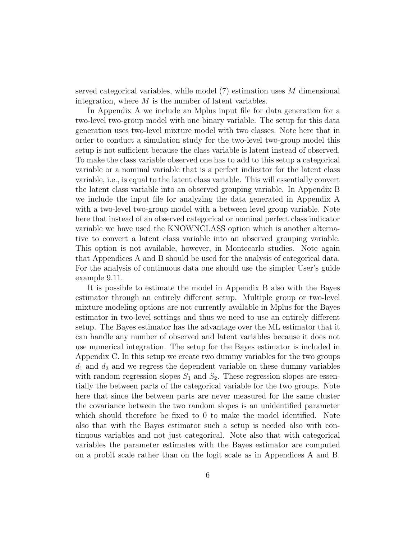served categorical variables, while model (7) estimation uses M dimensional integration, where  $M$  is the number of latent variables.

In Appendix A we include an Mplus input file for data generation for a two-level two-group model with one binary variable. The setup for this data generation uses two-level mixture model with two classes. Note here that in order to conduct a simulation study for the two-level two-group model this setup is not sufficient because the class variable is latent instead of observed. To make the class variable observed one has to add to this setup a categorical variable or a nominal variable that is a perfect indicator for the latent class variable, i.e., is equal to the latent class variable. This will essentially convert the latent class variable into an observed grouping variable. In Appendix B we include the input file for analyzing the data generated in Appendix A with a two-level two-group model with a between level group variable. Note here that instead of an observed categorical or nominal perfect class indicator variable we have used the KNOWNCLASS option which is another alternative to convert a latent class variable into an observed grouping variable. This option is not available, however, in Montecarlo studies. Note again that Appendices A and B should be used for the analysis of categorical data. For the analysis of continuous data one should use the simpler User's guide example 9.11.

It is possible to estimate the model in Appendix B also with the Bayes estimator through an entirely different setup. Multiple group or two-level mixture modeling options are not currently available in Mplus for the Bayes estimator in two-level settings and thus we need to use an entirely different setup. The Bayes estimator has the advantage over the ML estimator that it can handle any number of observed and latent variables because it does not use numerical integration. The setup for the Bayes estimator is included in Appendix C. In this setup we create two dummy variables for the two groups  $d_1$  and  $d_2$  and we regress the dependent variable on these dummy variables with random regression slopes  $S_1$  and  $S_2$ . These regression slopes are essentially the between parts of the categorical variable for the two groups. Note here that since the between parts are never measured for the same cluster the covariance between the two random slopes is an unidentified parameter which should therefore be fixed to 0 to make the model identified. Note also that with the Bayes estimator such a setup is needed also with continuous variables and not just categorical. Note also that with categorical variables the parameter estimates with the Bayes estimator are computed on a probit scale rather than on the logit scale as in Appendices A and B.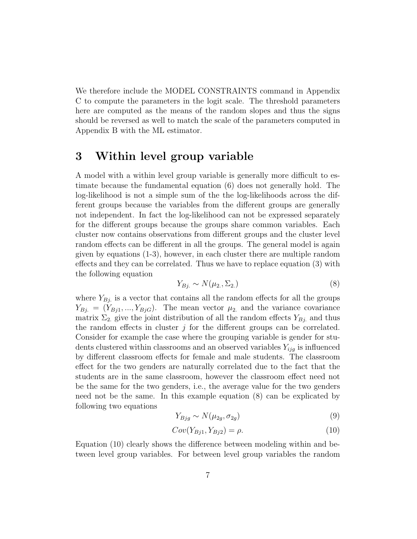We therefore include the MODEL CONSTRAINTS command in Appendix C to compute the parameters in the logit scale. The threshold parameters here are computed as the means of the random slopes and thus the signs should be reversed as well to match the scale of the parameters computed in Appendix B with the ML estimator.

#### 3 Within level group variable

A model with a within level group variable is generally more difficult to estimate because the fundamental equation (6) does not generally hold. The log-likelihood is not a simple sum of the the log-likelihoods across the different groups because the variables from the different groups are generally not independent. In fact the log-likelihood can not be expressed separately for the different groups because the groups share common variables. Each cluster now contains observations from different groups and the cluster level random effects can be different in all the groups. The general model is again given by equations (1-3), however, in each cluster there are multiple random effects and they can be correlated. Thus we have to replace equation (3) with the following equation

$$
Y_{Bj.} \sim N(\mu_2, \Sigma_2) \tag{8}
$$

where  $Y_{Bj}$  is a vector that contains all the random effects for all the groups  $Y_{Bj.} = (Y_{Bj1},..., Y_{BjG}).$  The mean vector  $\mu_2$  and the variance covariance matrix  $\Sigma_2$  give the joint distribution of all the random effects  $Y_{Bj}$  and thus the random effects in cluster  $j$  for the different groups can be correlated. Consider for example the case where the grouping variable is gender for students clustered within classrooms and an observed variables  $Y_{ijg}$  is influenced by different classroom effects for female and male students. The classroom effect for the two genders are naturally correlated due to the fact that the students are in the same classroom, however the classroom effect need not be the same for the two genders, i.e., the average value for the two genders need not be the same. In this example equation (8) can be explicated by following two equations

$$
Y_{Bjg} \sim N(\mu_{2g}, \sigma_{2g})\tag{9}
$$

$$
Cov(Y_{Bj1}, Y_{Bj2}) = \rho.
$$
\n
$$
(10)
$$

Equation (10) clearly shows the difference between modeling within and between level group variables. For between level group variables the random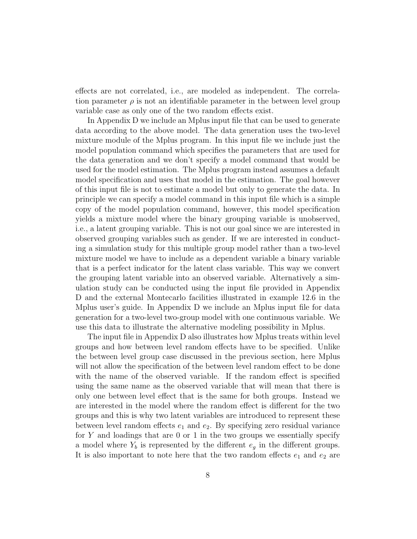effects are not correlated, i.e., are modeled as independent. The correlation parameter  $\rho$  is not an identifiable parameter in the between level group variable case as only one of the two random effects exist.

In Appendix D we include an Mplus input file that can be used to generate data according to the above model. The data generation uses the two-level mixture module of the Mplus program. In this input file we include just the model population command which specifies the parameters that are used for the data generation and we don't specify a model command that would be used for the model estimation. The Mplus program instead assumes a default model specification and uses that model in the estimation. The goal however of this input file is not to estimate a model but only to generate the data. In principle we can specify a model command in this input file which is a simple copy of the model population command, however, this model specification yields a mixture model where the binary grouping variable is unobserved, i.e., a latent grouping variable. This is not our goal since we are interested in observed grouping variables such as gender. If we are interested in conducting a simulation study for this multiple group model rather than a two-level mixture model we have to include as a dependent variable a binary variable that is a perfect indicator for the latent class variable. This way we convert the grouping latent variable into an observed variable. Alternatively a simulation study can be conducted using the input file provided in Appendix D and the external Montecarlo facilities illustrated in example 12.6 in the Mplus user's guide. In Appendix D we include an Mplus input file for data generation for a two-level two-group model with one continuous variable. We use this data to illustrate the alternative modeling possibility in Mplus.

The input file in Appendix D also illustrates how Mplus treats within level groups and how between level random effects have to be specified. Unlike the between level group case discussed in the previous section, here Mplus will not allow the specification of the between level random effect to be done with the name of the observed variable. If the random effect is specified using the same name as the observed variable that will mean that there is only one between level effect that is the same for both groups. Instead we are interested in the model where the random effect is different for the two groups and this is why two latent variables are introduced to represent these between level random effects  $e_1$  and  $e_2$ . By specifying zero residual variance for  $Y$  and loadings that are 0 or 1 in the two groups we essentially specify a model where  $Y_b$  is represented by the different  $e_q$  in the different groups. It is also important to note here that the two random effects  $e_1$  and  $e_2$  are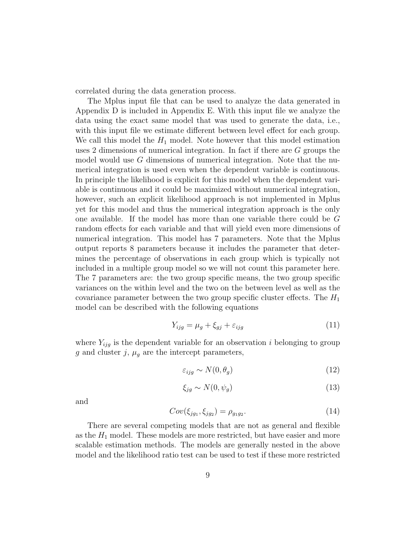correlated during the data generation process.

The Mplus input file that can be used to analyze the data generated in Appendix D is included in Appendix E. With this input file we analyze the data using the exact same model that was used to generate the data, i.e., with this input file we estimate different between level effect for each group. We call this model the  $H_1$  model. Note however that this model estimation uses 2 dimensions of numerical integration. In fact if there are G groups the model would use G dimensions of numerical integration. Note that the numerical integration is used even when the dependent variable is continuous. In principle the likelihood is explicit for this model when the dependent variable is continuous and it could be maximized without numerical integration, however, such an explicit likelihood approach is not implemented in Mplus yet for this model and thus the numerical integration approach is the only one available. If the model has more than one variable there could be G random effects for each variable and that will yield even more dimensions of numerical integration. This model has 7 parameters. Note that the Mplus output reports 8 parameters because it includes the parameter that determines the percentage of observations in each group which is typically not included in a multiple group model so we will not count this parameter here. The 7 parameters are: the two group specific means, the two group specific variances on the within level and the two on the between level as well as the covariance parameter between the two group specific cluster effects. The  $H_1$ model can be described with the following equations

$$
Y_{ijg} = \mu_g + \xi_{gj} + \varepsilon_{ijg} \tag{11}
$$

where  $Y_{ijg}$  is the dependent variable for an observation i belonging to group g and cluster j,  $\mu_q$  are the intercept parameters,

$$
\varepsilon_{ijg} \sim N(0, \theta_g) \tag{12}
$$

$$
\xi_{jg} \sim N(0, \psi_g) \tag{13}
$$

and

$$
Cov(\xi_{jg_1}, \xi_{jg_2}) = \rho_{g_1g_2}.\tag{14}
$$

There are several competing models that are not as general and flexible as the  $H_1$  model. These models are more restricted, but have easier and more scalable estimation methods. The models are generally nested in the above model and the likelihood ratio test can be used to test if these more restricted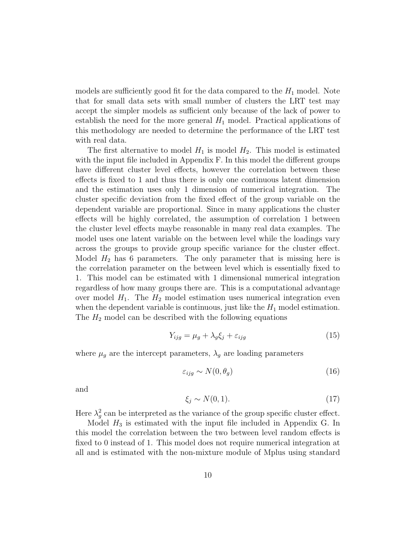models are sufficiently good fit for the data compared to the  $H_1$  model. Note that for small data sets with small number of clusters the LRT test may accept the simpler models as sufficient only because of the lack of power to establish the need for the more general  $H_1$  model. Practical applications of this methodology are needed to determine the performance of the LRT test with real data.

The first alternative to model  $H_1$  is model  $H_2$ . This model is estimated with the input file included in Appendix F. In this model the different groups have different cluster level effects, however the correlation between these effects is fixed to 1 and thus there is only one continuous latent dimension and the estimation uses only 1 dimension of numerical integration. The cluster specific deviation from the fixed effect of the group variable on the dependent variable are proportional. Since in many applications the cluster effects will be highly correlated, the assumption of correlation 1 between the cluster level effects maybe reasonable in many real data examples. The model uses one latent variable on the between level while the loadings vary across the groups to provide group specific variance for the cluster effect. Model  $H_2$  has 6 parameters. The only parameter that is missing here is the correlation parameter on the between level which is essentially fixed to 1. This model can be estimated with 1 dimensional numerical integration regardless of how many groups there are. This is a computational advantage over model  $H_1$ . The  $H_2$  model estimation uses numerical integration even when the dependent variable is continuous, just like the  $H_1$  model estimation. The  $H_2$  model can be described with the following equations

$$
Y_{ijg} = \mu_g + \lambda_g \xi_j + \varepsilon_{ijg} \tag{15}
$$

where  $\mu_g$  are the intercept parameters,  $\lambda_g$  are loading parameters

$$
\varepsilon_{ijg} \sim N(0, \theta_g) \tag{16}
$$

and

$$
\xi_j \sim N(0, 1). \tag{17}
$$

Here  $\lambda_g^2$  can be interpreted as the variance of the group specific cluster effect.

Model  $H_3$  is estimated with the input file included in Appendix G. In this model the correlation between the two between level random effects is fixed to 0 instead of 1. This model does not require numerical integration at all and is estimated with the non-mixture module of Mplus using standard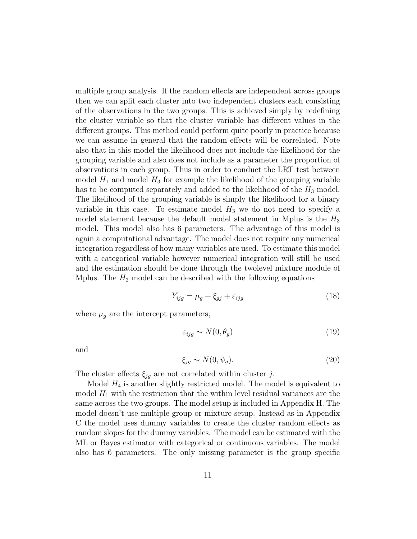multiple group analysis. If the random effects are independent across groups then we can split each cluster into two independent clusters each consisting of the observations in the two groups. This is achieved simply by redefining the cluster variable so that the cluster variable has different values in the different groups. This method could perform quite poorly in practice because we can assume in general that the random effects will be correlated. Note also that in this model the likelihood does not include the likelihood for the grouping variable and also does not include as a parameter the proportion of observations in each group. Thus in order to conduct the LRT test between model  $H_1$  and model  $H_3$  for example the likelihood of the grouping variable has to be computed separately and added to the likelihood of the  $H_3$  model. The likelihood of the grouping variable is simply the likelihood for a binary variable in this case. To estimate model  $H_3$  we do not need to specify a model statement because the default model statement in Mplus is the  $H_3$ model. This model also has 6 parameters. The advantage of this model is again a computational advantage. The model does not require any numerical integration regardless of how many variables are used. To estimate this model with a categorical variable however numerical integration will still be used and the estimation should be done through the twolevel mixture module of Mplus. The  $H_3$  model can be described with the following equations

$$
Y_{ijg} = \mu_g + \xi_{gj} + \varepsilon_{ijg} \tag{18}
$$

where  $\mu_g$  are the intercept parameters,

$$
\varepsilon_{ijg} \sim N(0, \theta_g) \tag{19}
$$

and

$$
\xi_{jg} \sim N(0, \psi_g). \tag{20}
$$

The cluster effects  $\xi_{jq}$  are not correlated within cluster j.

Model  $H_4$  is another slightly restricted model. The model is equivalent to model  $H_1$  with the restriction that the within level residual variances are the same across the two groups. The model setup is included in Appendix H. The model doesn't use multiple group or mixture setup. Instead as in Appendix C the model uses dummy variables to create the cluster random effects as random slopes for the dummy variables. The model can be estimated with the ML or Bayes estimator with categorical or continuous variables. The model also has 6 parameters. The only missing parameter is the group specific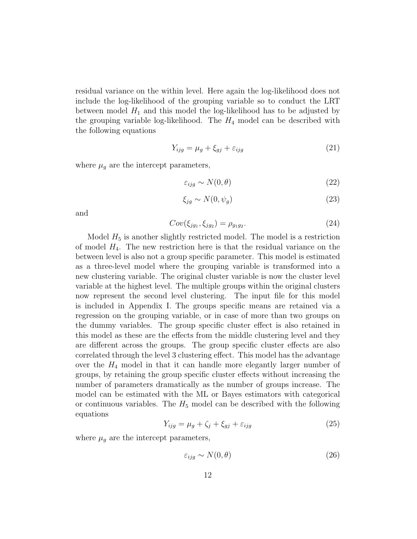residual variance on the within level. Here again the log-likelihood does not include the log-likelihood of the grouping variable so to conduct the LRT between model  $H_1$  and this model the log-likelihood has to be adjusted by the grouping variable log-likelihood. The  $H_4$  model can be described with the following equations

$$
Y_{ijg} = \mu_g + \xi_{gj} + \varepsilon_{ijg} \tag{21}
$$

where  $\mu_g$  are the intercept parameters,

$$
\varepsilon_{ijg} \sim N(0,\theta) \tag{22}
$$

$$
\xi_{jg} \sim N(0, \psi_g) \tag{23}
$$

and

$$
Cov(\xi_{jg_1}, \xi_{jg_2}) = \rho_{g_1g_2}.\tag{24}
$$

Model  $H_5$  is another slightly restricted model. The model is a restriction of model  $H_4$ . The new restriction here is that the residual variance on the between level is also not a group specific parameter. This model is estimated as a three-level model where the grouping variable is transformed into a new clustering variable. The original cluster variable is now the cluster level variable at the highest level. The multiple groups within the original clusters now represent the second level clustering. The input file for this model is included in Appendix I. The groups specific means are retained via a regression on the grouping variable, or in case of more than two groups on the dummy variables. The group specific cluster effect is also retained in this model as these are the effects from the middle clustering level and they are different across the groups. The group specific cluster effects are also correlated through the level 3 clustering effect. This model has the advantage over the  $H_4$  model in that it can handle more elegantly larger number of groups, by retaining the group specific cluster effects without increasing the number of parameters dramatically as the number of groups increase. The model can be estimated with the ML or Bayes estimators with categorical or continuous variables. The  $H_5$  model can be described with the following equations

$$
Y_{ijg} = \mu_g + \zeta_j + \xi_{gj} + \varepsilon_{ijg}
$$
\n<sup>(25)</sup>

where  $\mu_g$  are the intercept parameters,

$$
\varepsilon_{ijg} \sim N(0,\theta) \tag{26}
$$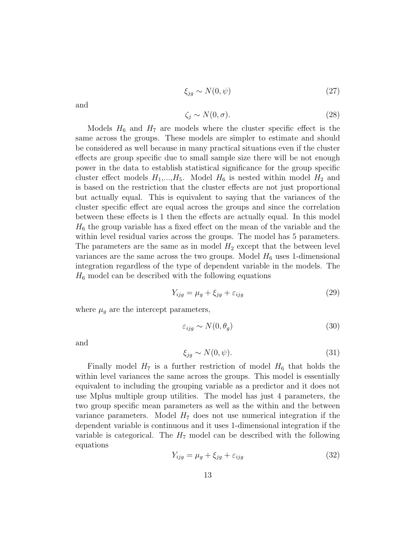$$
\xi_{jg} \sim N(0, \psi) \tag{27}
$$

and

$$
\zeta_j \sim N(0, \sigma). \tag{28}
$$

Models  $H_6$  and  $H_7$  are models where the cluster specific effect is the same across the groups. These models are simpler to estimate and should be considered as well because in many practical situations even if the cluster effects are group specific due to small sample size there will be not enough power in the data to establish statistical significance for the group specific cluster effect models  $H_1,...,H_5$ . Model  $H_6$  is nested within model  $H_2$  and is based on the restriction that the cluster effects are not just proportional but actually equal. This is equivalent to saying that the variances of the cluster specific effect are equal across the groups and since the correlation between these effects is 1 then the effects are actually equal. In this model  $H_6$  the group variable has a fixed effect on the mean of the variable and the within level residual varies across the groups. The model has 5 parameters. The parameters are the same as in model  $H_2$  except that the between level variances are the same across the two groups. Model  $H_6$  uses 1-dimensional integration regardless of the type of dependent variable in the models. The  $H_6$  model can be described with the following equations

$$
Y_{ijg} = \mu_g + \xi_{jg} + \varepsilon_{ijg} \tag{29}
$$

where  $\mu_g$  are the intercept parameters,

$$
\varepsilon_{ijg} \sim N(0, \theta_g) \tag{30}
$$

and

$$
\xi_{jg} \sim N(0, \psi). \tag{31}
$$

Finally model  $H_7$  is a further restriction of model  $H_6$  that holds the within level variances the same across the groups. This model is essentially equivalent to including the grouping variable as a predictor and it does not use Mplus multiple group utilities. The model has just 4 parameters, the two group specific mean parameters as well as the within and the between variance parameters. Model  $H<sub>7</sub>$  does not use numerical integration if the dependent variable is continuous and it uses 1-dimensional integration if the variable is categorical. The  $H_7$  model can be described with the following equations

$$
Y_{ijg} = \mu_g + \xi_{jg} + \varepsilon_{ijg} \tag{32}
$$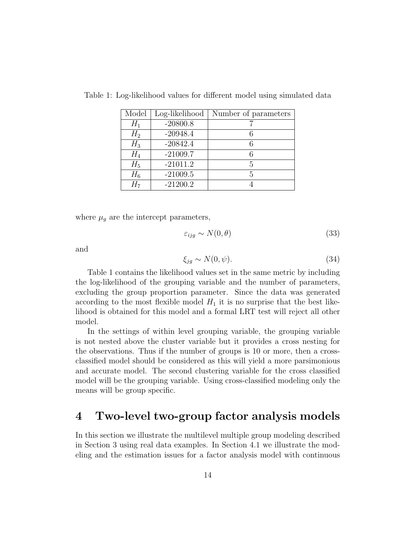| Model          | Log-likelihood | Number of parameters |
|----------------|----------------|----------------------|
| $H_1$          | $-20800.8$     |                      |
| $H_2$          | $-20948.4$     |                      |
| $H_3$          | $-20842.4$     |                      |
| $H_4$          | $-21009.7$     | 6                    |
| $H_5$          | $-21011.2$     | 5                    |
| $H_6$          | $-21009.5$     | 5                    |
| H <sub>7</sub> | $-21200.2$     |                      |

Table 1: Log-likelihood values for different model using simulated data

where  $\mu_g$  are the intercept parameters,

$$
\varepsilon_{ijg} \sim N(0,\theta) \tag{33}
$$

and

$$
\xi_{jg} \sim N(0, \psi). \tag{34}
$$

Table 1 contains the likelihood values set in the same metric by including the log-likelihood of the grouping variable and the number of parameters, excluding the group proportion parameter. Since the data was generated according to the most flexible model  $H_1$  it is no surprise that the best likelihood is obtained for this model and a formal LRT test will reject all other model.

In the settings of within level grouping variable, the grouping variable is not nested above the cluster variable but it provides a cross nesting for the observations. Thus if the number of groups is 10 or more, then a crossclassified model should be considered as this will yield a more parsimonious and accurate model. The second clustering variable for the cross classified model will be the grouping variable. Using cross-classified modeling only the means will be group specific.

#### 4 Two-level two-group factor analysis models

In this section we illustrate the multilevel multiple group modeling described in Section 3 using real data examples. In Section 4.1 we illustrate the modeling and the estimation issues for a factor analysis model with continuous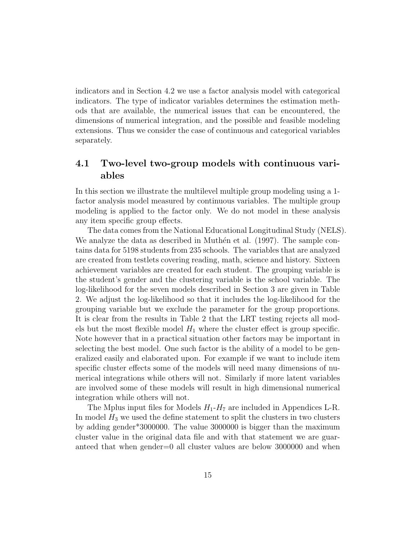indicators and in Section 4.2 we use a factor analysis model with categorical indicators. The type of indicator variables determines the estimation methods that are available, the numerical issues that can be encountered, the dimensions of numerical integration, and the possible and feasible modeling extensions. Thus we consider the case of continuous and categorical variables separately.

#### 4.1 Two-level two-group models with continuous variables

In this section we illustrate the multilevel multiple group modeling using a 1 factor analysis model measured by continuous variables. The multiple group modeling is applied to the factor only. We do not model in these analysis any item specific group effects.

The data comes from the National Educational Longitudinal Study (NELS). We analyze the data as described in Muthen et al.  $(1997)$ . The sample contains data for 5198 students from 235 schools. The variables that are analyzed are created from testlets covering reading, math, science and history. Sixteen achievement variables are created for each student. The grouping variable is the student's gender and the clustering variable is the school variable. The log-likelihood for the seven models described in Section 3 are given in Table 2. We adjust the log-likelihood so that it includes the log-likelihood for the grouping variable but we exclude the parameter for the group proportions. It is clear from the results in Table 2 that the LRT testing rejects all models but the most flexible model  $H_1$  where the cluster effect is group specific. Note however that in a practical situation other factors may be important in selecting the best model. One such factor is the ability of a model to be generalized easily and elaborated upon. For example if we want to include item specific cluster effects some of the models will need many dimensions of numerical integrations while others will not. Similarly if more latent variables are involved some of these models will result in high dimensional numerical integration while others will not.

The Mplus input files for Models  $H_1$ - $H_7$  are included in Appendices L-R. In model  $H_3$  we used the define statement to split the clusters in two clusters by adding gender\*3000000. The value 3000000 is bigger than the maximum cluster value in the original data file and with that statement we are guaranteed that when gender=0 all cluster values are below 3000000 and when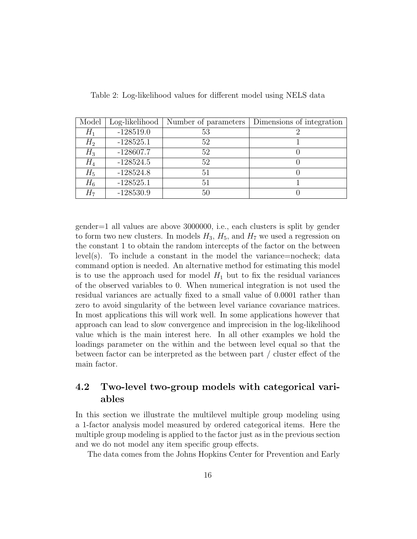| Model | Log-likelihood | Number of parameters | Dimensions of integration |
|-------|----------------|----------------------|---------------------------|
| $H_1$ | $-128519.0$    | 53                   |                           |
| $H_2$ | $-128525.1$    | 52                   |                           |
| $H_3$ | $-128607.7$    | 52                   |                           |
| $H_4$ | $-128524.5$    | 52                   |                           |
| $H_5$ | $-128524.8$    | 51                   |                           |
| $H_6$ | $-128525.1$    | 51                   |                           |
| $H_7$ | $-128530.9$    | 50                   |                           |

Table 2: Log-likelihood values for different model using NELS data

gender=1 all values are above 3000000, i.e., each clusters is split by gender to form two new clusters. In models  $H_3$ ,  $H_5$ , and  $H_7$  we used a regression on the constant 1 to obtain the random intercepts of the factor on the between level(s). To include a constant in the model the variance=nocheck; data command option is needed. An alternative method for estimating this model is to use the approach used for model  $H_1$  but to fix the residual variances of the observed variables to 0. When numerical integration is not used the residual variances are actually fixed to a small value of 0.0001 rather than zero to avoid singularity of the between level variance covariance matrices. In most applications this will work well. In some applications however that approach can lead to slow convergence and imprecision in the log-likelihood value which is the main interest here. In all other examples we hold the loadings parameter on the within and the between level equal so that the between factor can be interpreted as the between part / cluster effect of the main factor.

#### 4.2 Two-level two-group models with categorical variables

In this section we illustrate the multilevel multiple group modeling using a 1-factor analysis model measured by ordered categorical items. Here the multiple group modeling is applied to the factor just as in the previous section and we do not model any item specific group effects.

The data comes from the Johns Hopkins Center for Prevention and Early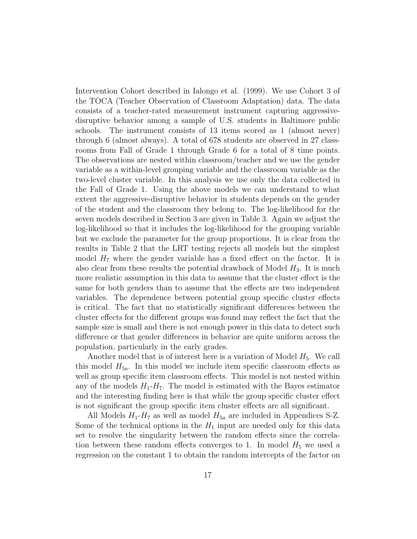Intervention Cohort described in Ialongo et al. (1999). We use Cohort 3 of the TOCA (Teacher Observation of Classroom Adaptation) data. The data consists of a teacher-rated measurement instrument capturing aggressivedisruptive behavior among a sample of U.S. students in Baltimore public schools. The instrument consists of 13 items scored as 1 (almost never) through 6 (almost always). A total of 678 students are observed in 27 classrooms from Fall of Grade 1 through Grade 6 for a total of 8 time points. The observations are nested within classroom/teacher and we use the gender variable as a within-level grouping variable and the classroom variable as the two-level cluster variable. In this analysis we use only the data collected in the Fall of Grade 1. Using the above models we can understand to what extent the aggressive-disruptive behavior in students depends on the gender of the student and the classroom they belong to. The log-likelihood for the seven models described in Section 3 are given in Table 3. Again we adjust the log-likelihood so that it includes the log-likelihood for the grouping variable but we exclude the parameter for the group proportions. It is clear from the results in Table 2 that the LRT testing rejects all models but the simplest model  $H_7$  where the gender variable has a fixed effect on the factor. It is also clear from these results the potential drawback of Model  $H_3$ . It is much more realistic assumption in this data to assume that the cluster effect is the same for both genders than to assume that the effects are two independent variables. The dependence between potential group specific cluster effects is critical. The fact that no statistically significant differences between the cluster effects for the different groups was found may reflect the fact that the sample size is small and there is not enough power in this data to detect such difference or that gender differences in behavior are quite uniform across the population, particularly in the early grades.

Another model that is of interest here is a variation of Model  $H_5$ . We call this model  $H_{5a}$ . In this model we include item specific classroom effects as well as group specific item classroom effects. This model is not nested within any of the models  $H_1$ - $H_7$ . The model is estimated with the Bayes estimator and the interesting finding here is that while the group specific cluster effect is not significant the group specific item cluster effects are all significant.

All Models  $H_1-H_7$  as well as model  $H_{5a}$  are included in Appendices S-Z. Some of the technical options in the  $H_1$  input are needed only for this data set to resolve the singularity between the random effects since the correlation between these random effects converges to 1. In model  $H_5$  we used a regression on the constant 1 to obtain the random intercepts of the factor on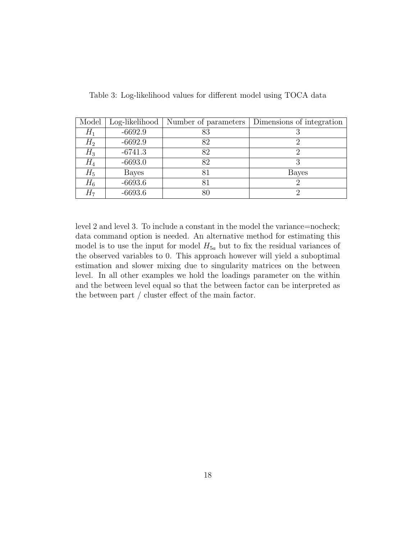| Model | $Log-likelihood$ | Number of parameters | Dimensions of integration |
|-------|------------------|----------------------|---------------------------|
| $H_1$ | $-6692.9$        | 83                   |                           |
| $H_2$ | $-6692.9$        | 82                   |                           |
| $H_3$ | $-6741.3$        | 82                   |                           |
| $H_4$ | $-6693.0$        | 82                   |                           |
| $H_5$ | Bayes            | 81                   | Bayes                     |
| $H_6$ | $-6693.6$        | 81                   |                           |
| $H_7$ | $-6693.6$        | $80\,$               |                           |

Table 3: Log-likelihood values for different model using TOCA data

level 2 and level 3. To include a constant in the model the variance=nocheck; data command option is needed. An alternative method for estimating this model is to use the input for model  $H_{5a}$  but to fix the residual variances of the observed variables to 0. This approach however will yield a suboptimal estimation and slower mixing due to singularity matrices on the between level. In all other examples we hold the loadings parameter on the within and the between level equal so that the between factor can be interpreted as the between part / cluster effect of the main factor.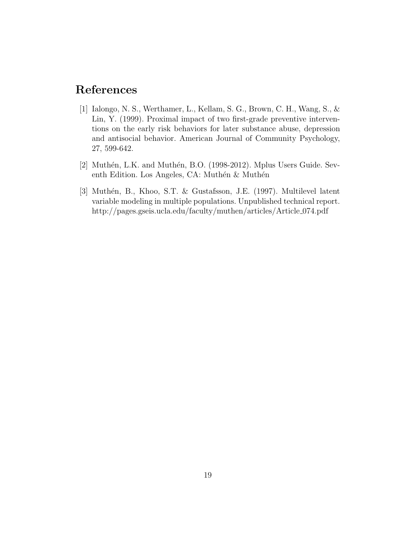## References

- [1] Ialongo, N. S., Werthamer, L., Kellam, S. G., Brown, C. H., Wang, S., & Lin, Y. (1999). Proximal impact of two first-grade preventive interventions on the early risk behaviors for later substance abuse, depression and antisocial behavior. American Journal of Community Psychology, 27, 599-642.
- [2] Muthén, L.K. and Muthén, B.O. (1998-2012). Mplus Users Guide. Seventh Edition. Los Angeles, CA: Muthén  $&$  Muthén
- [3] Muthén, B., Khoo, S.T. & Gustafsson, J.E. (1997). Multilevel latent variable modeling in multiple populations. Unpublished technical report. http://pages.gseis.ucla.edu/faculty/muthen/articles/Article 074.pdf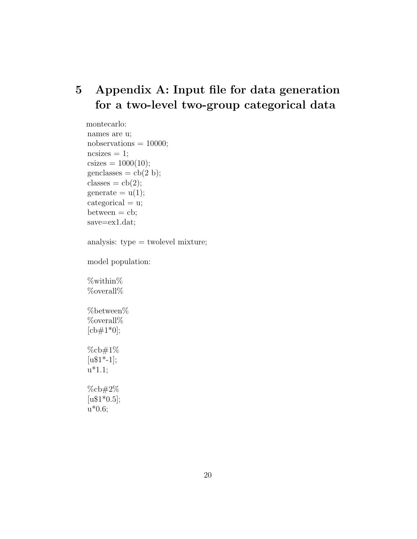## 5 Appendix A: Input file for data generation for a two-level two-group categorical data

montecarlo: names are u; nobservations  $= 10000$ ;  $ncsizes = 1;$  $\text{csizes} = 1000(10);$  $\text{genclasses} = \text{cb}(2 \text{ b});$ classes =  $cb(2);$ generate  $= u(1);$  $categorical = u;$  $between = cb;$ save=ex1.dat; analysis: type = twolevel mixture; model population: %within% %overall%  $%$ between $%$ %overall%  $[cb#1*0];$ %cb#1%  $[u$1*-1];$  $u^*1.1;$ 

%cb#2%  $[u$1*0.5];$  $u*0.6;$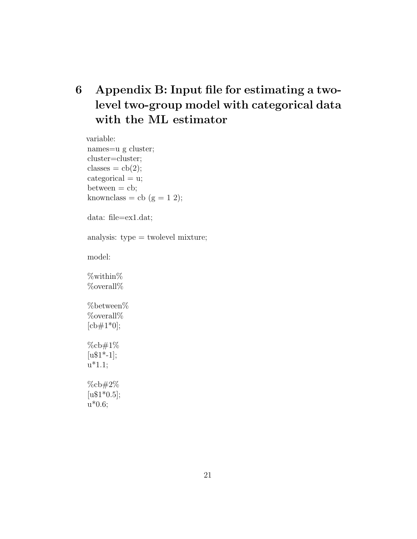# 6 Appendix B: Input file for estimating a twolevel two-group model with categorical data with the ML estimator

variable: names=u g cluster; cluster=cluster; classes =  $cb(2);$  $categorical = u;$  $between = cb;$ knownclass = cb  $(g = 1 2);$ data: file=ex1.dat; analysis: type = twolevel mixture; model: %within% %overall% %between% %overall%  $[cb#1*0];$ %cb#1%  $[u$1*-1];$  $u^*1.1;$ %cb#2%  $[u$1*0.5];$ u\*0.6;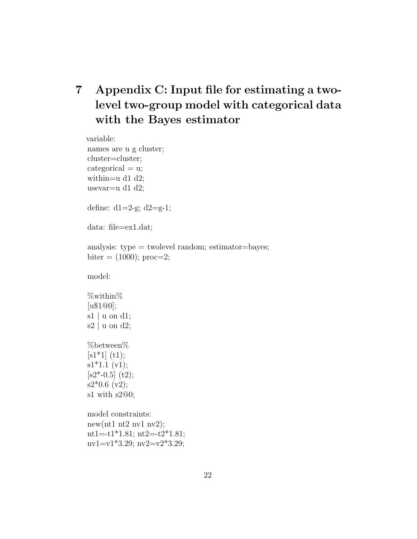# 7 Appendix C: Input file for estimating a twolevel two-group model with categorical data with the Bayes estimator

```
variable:
names are u g cluster;
cluster=cluster;
categorical = u;within=u d1 d2;
usevar=u d1 d2;
define: d1=2-g; d2=g-1;
data: file=ex1.dat;
analysis: type = two level random; estimator = bayes;biter = (1000); proc= 2;
model:
%within%
[u$1@0];
s1 | u on d1;
s2 | u on d2;
%between%
[s1*1] (t1);
s1*1.1 (v1);[s2*-0.5] (t2);
s2*0.6 (v2);
s1 with s2@0;
model constraints:
new(nt1 nt2 nv1 nv2);
nt1=-t1*1.81; nt2=-t2*1.81;
nv1=v1*3.29; nv2=v2*3.29;
```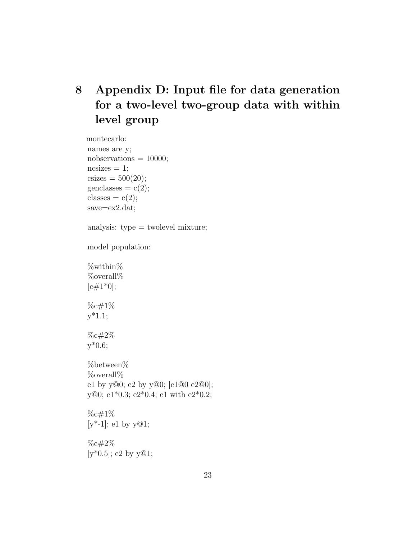# 8 Appendix D: Input file for data generation for a two-level two-group data with within level group

montecarlo: names are y; nobservations  $= 10000;$  $ncsizes = 1;$  $\text{csizes} = 500(20);$ genclasses  $= c(2);$ classes  $=c(2);$ save=ex2.dat; analysis: type = twolevel mixture; model population: %within% %overall%  $[c#1*0];$ %c#1% y\*1.1; %c#2% y\*0.6; %between% %overall% e1 by y@0; e2 by y@0; [e1@0 e2@0]; y@0; e1\*0.3; e2\*0.4; e1 with e2\*0.2; %c#1%  $[y^* - 1]$ ; e1 by  $y@1$ ; %c#2%  $[y*0.5]$ ; e2 by y $@1$ ;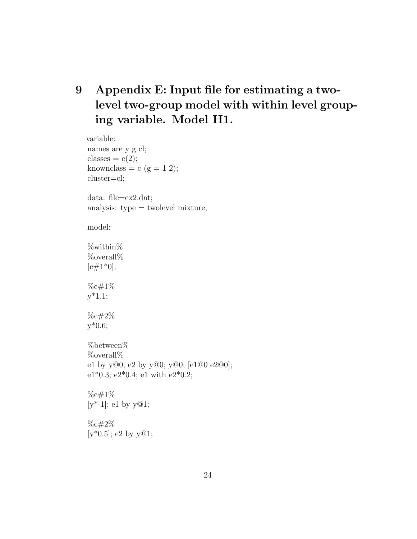# 9 Appendix E: Input file for estimating a twolevel two-group model with within level grouping variable. Model H1.

variable: names are y g cl; classes  $=c(2);$ knownclass = c (g = 1 2); cluster=cl; data: file=ex2.dat; analysis: type = twolevel mixture; model: %within% %overall%  $[c#1*0];$ %c#1%  $y*1.1;$ %c#2% y\*0.6; %between% %overall% e1 by y@0; e2 by y@0; y@0; [e1@0 e2@0]; e1\*0.3; e2\*0.4; e1 with e2\*0.2; %c#1%  $[y^*$ -1]; e1 by  $y@1;$ %c#2%  $[y*0.5]$ ; e2 by  $y@1$ ;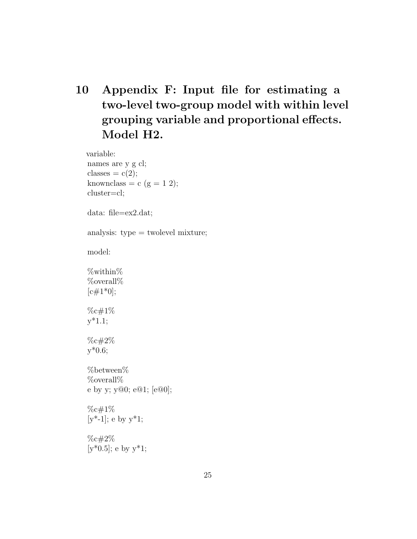# 10 Appendix F: Input file for estimating a two-level two-group model with within level grouping variable and proportional effects. Model H2.

variable: names are y g cl; classes  $=c(2);$ knownclass = c  $(g = 1 2);$ cluster=cl; data: file=ex2.dat; analysis:  $type =$  twolevel mixture; model: %within% %overall%  $[c#1*0];$ %c#1% y\*1.1; %c#2% y\*0.6; %between% %overall% e by y; y@0; e@1; [e@0]; %c#1%  $[y^* - 1]$ ; e by  $y^* 1$ ; %c#2%  $[y*0.5]$ ; e by  $y*1$ ;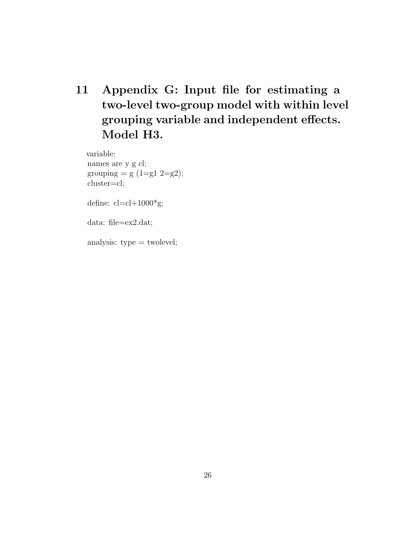11 Appendix G: Input file for estimating a two-level two-group model with within level grouping variable and independent effects. Model H3.

variable: names are y g cl; grouping  $= g (1 = g1 2 = g2);$ cluster=cl;

define:  $cl=cl+1000*g;$ 

data: file=ex2.dat;

analysis: type = twolevel;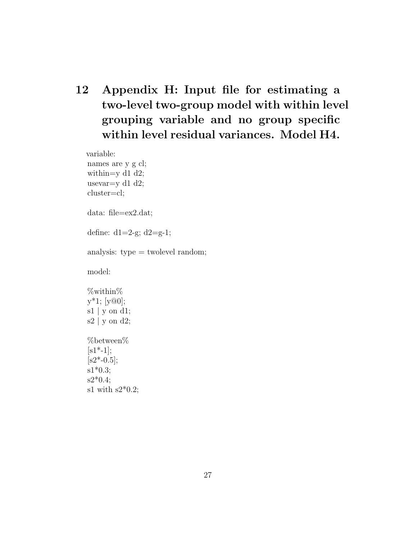12 Appendix H: Input file for estimating a two-level two-group model with within level grouping variable and no group specific within level residual variances. Model H4.

variable:

names are y g cl; within=y  $d1 d2$ ; usevar=y  $d1$  d2; cluster=cl;

data: file=ex2.dat;

define:  $d1=2-g$ ;  $d2=g-1$ ;

analysis:  $type =$  twolevel random;

model:

%within%  $y^*1$ ; [ $y@0$ ]; s1 | y on d1; s2 | y on d2; %between%  $[s1^* - 1];$  $[s2^* - 0.5];$ s1\*0.3;  $s2*0.4;$ s1 with  $s2*0.2$ ;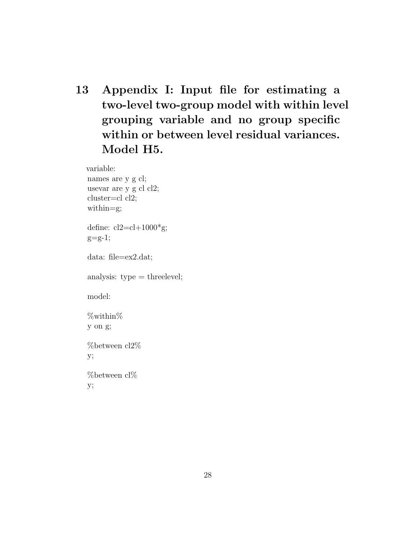13 Appendix I: Input file for estimating a two-level two-group model with within level grouping variable and no group specific within or between level residual variances. Model H5.

variable:

names are y g cl; usevar are y g cl cl2; cluster=cl cl2; within=g; define:  $cl2 = cl + 1000*g;$  $g=g-1;$ data: file=ex2.dat; analysis: type = threelevel; model: %within% y on g; %between cl2% y; %between cl% y;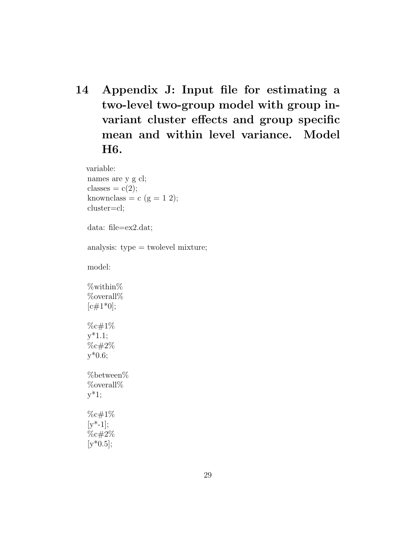14 Appendix J: Input file for estimating a two-level two-group model with group invariant cluster effects and group specific mean and within level variance. Model H6.

variable:

names are y g cl; classes  $=c(2);$ knownclass = c  $(g = 1 2);$ cluster=cl;

data: file=ex2.dat;

analysis: type = twolevel mixture;

model:

%within% %overall%  $[c#1*0];$ %c#1% y\*1.1; %c#2% y\*0.6; %between% %overall%

y\*1;

%c#1%  $[y^* - 1];$ %c#2%  $[y*0.5]$ ;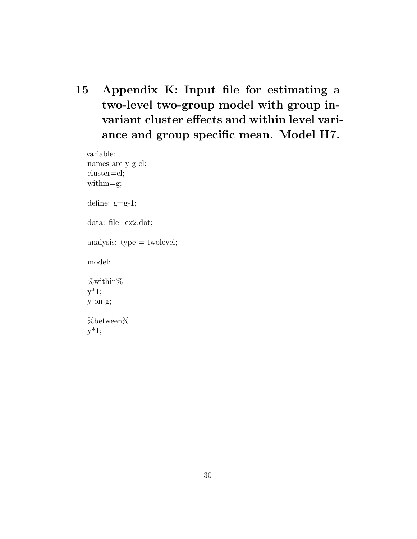15 Appendix K: Input file for estimating a two-level two-group model with group invariant cluster effects and within level variance and group specific mean. Model H7.

variable: names are y g cl; cluster=cl; within=g; define: g=g-1; data: file=ex2.dat; analysis: type = twolevel; model: %within%  $y^*1;$ y on g; %between%  $y^*1;$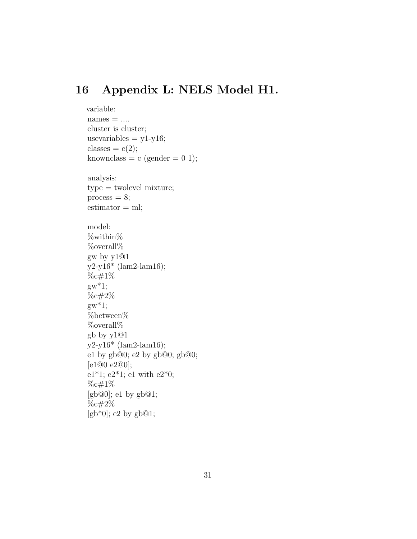#### 16 Appendix L: NELS Model H1.

```
variable:
names = \ldotscluster is cluster;
usevariables = y1-y16;classes = c(2);
knownclass = c (gender = 0 1);
analysis:
type = twolevel mixture;
process = 8;estimator = ml;model:
%within%
%overall%
gw by y1@1
y2-y16* (lam2-lam16);
%c#1%
gw^*1;%c#2%
gw^*1;%between%
%overall%
gb by y1@1
y2-y16* (lam2-lam16);
e1 by gb@0; e2 by gb@0; gb@0;
[e1@0 e2@0];
e1*1; e2*1; e1 with e2*0;
%c#1%
[gb@0]; e1 by gb@1;
%c#2%
[gb*0]; e2 by gb@1;
```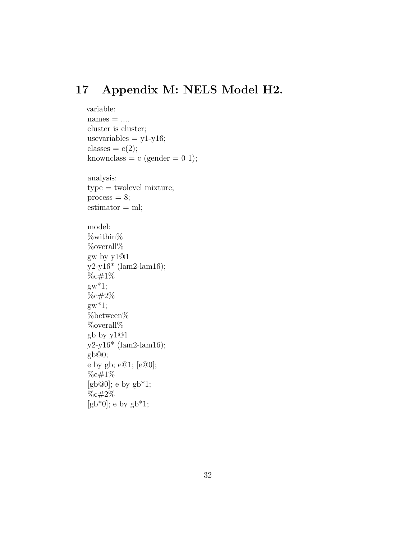#### 17 Appendix M: NELS Model H2.

```
variable:
names = \ldotscluster is cluster;
usevariables = y1-y16;classes = c(2);
knownclass = c (gender = 0 1);
analysis:
type = twolevel mixture;
process = 8;estimator = ml;model:
%within%
%overall%
gw by y1@1
y2-y16* (lam2-lam16);
%c#1%
gw^*1;%c#2%
gw^*1;%between%
%overall%
gb by y1@1
y2-y16* (lam2-lam16);
gb@0;
e by gb; e@1; [e@0];
%c#1%
[gb@0]; e by gb*1;
%c#2%
[gb*0]; e by gb*1;
```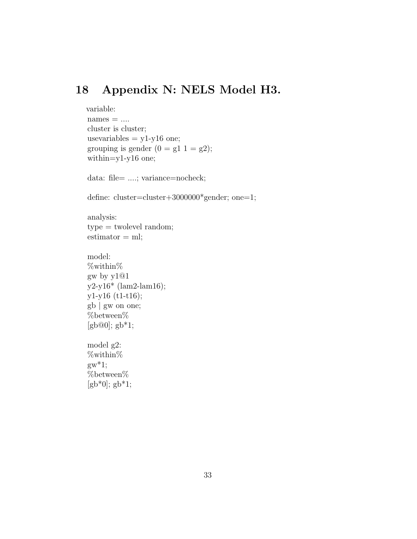### 18 Appendix N: NELS Model H3.

```
variable:
names = \ldotscluster is cluster;
usevariables = y1-y16 one;
grouping is gender (0 = g1 1 = g2);within=y1-y16 one;
```

```
data: file= ....; variance=nocheck;
```

```
define: cluster=cluster+3000000<sup>*</sup>gender; one=1;
```

```
analysis:
type = twolevel random;
estimator = ml;
```

```
model:
%within%
gw by y1@1
y2-y16* (lam2-lam16);
y1-y16 (t1-t16);
gb | gw on one;
%between%
[gb@0]; gb*1;
```

```
model g2:
%within%
gw^*1;\% between \%[gb*0]; gb*1;
```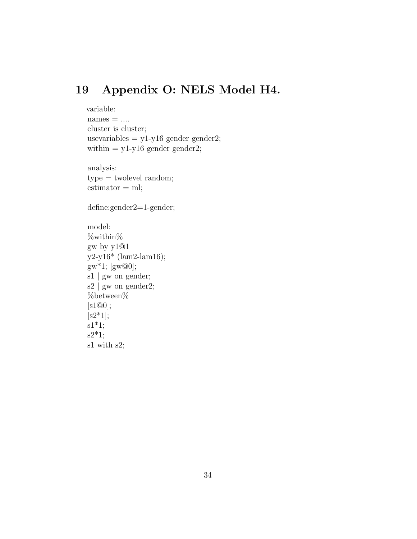## 19 Appendix O: NELS Model H4.

```
variable:
names = \ldotscluster is cluster;
usevariables = y1-y16 gender gender2;
within = y1-y16 gender gender2;
```
analysis: type = twolevel random;  $estimator = ml;$ 

#### define:gender2=1-gender;

```
model:
%within%
gw by y1@1
y2-y16* (lam2-lam16);
gw^*1; [gw@0];
s1 | gw on gender;
s2 | gw on gender2;
%between%
[s1@0];[s2*1];s1*1;s2*1;s1 with s2;
```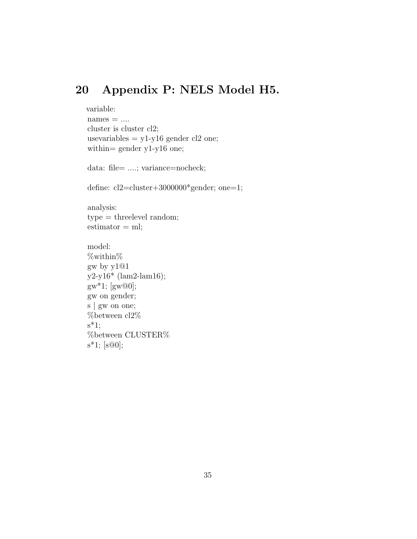#### 20 Appendix P: NELS Model H5.

```
variable:
names = \ldotscluster is cluster cl2;
usevariables = y1-y16 gender cl2 one;
within= gender y1-y16 one;
```

```
data: file= ....; variance=nocheck;
```

```
define: cl2=cluster+3000000*gender; one=1;
```
analysis: type = threelevel random;  $estimator = ml;$ 

```
model:
%within%
gw by y1@1
y2-y16* (lam2-lam16);
gw^*1; [gw@0];
gw on gender;
s | gw on one;
%between cl2%
s^*1;
%between CLUSTER%
s*1; [s@0];
```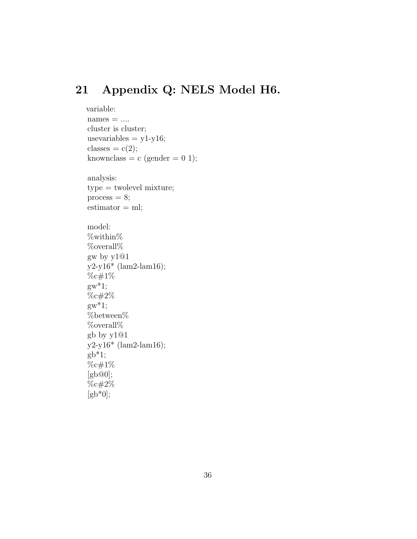## 21 Appendix Q: NELS Model H6.

```
variable:
names = \dotscluster is cluster;
usevariables = y1-y16;classes =c(2);knownclass = c (gender = 0 1);
analysis:
type = twolevel mixture;
process = 8;estimator = ml;model:
%within%
%overall%
gw by y1@1
y2-y16* (lam2-lam16);
%c#1%
gw^*1;%c#2%
gw^*1;%between%
\%overall\%gb by y1@1
y2-y16* (lam2-lam16);
gb*1;%c#1%
[gb@0];%c#2%
[gb*0];
```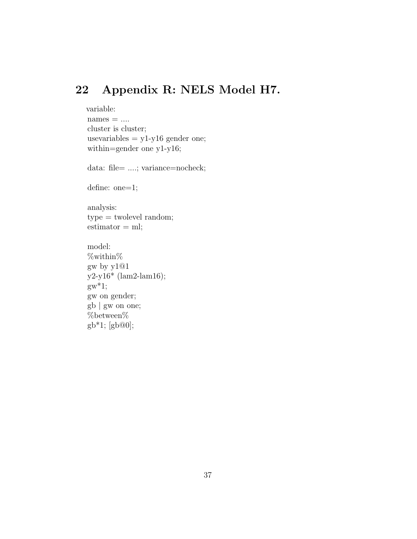## 22 Appendix R: NELS Model H7.

```
variable:
names = \dotscluster is cluster;
usevariables = y1-y16 gender one;
within=gender one y1-y16;
data: file= ....; variance=nocheck;
define: one=1;
analysis:
type = twolevel random;
estimator = ml;model:
%within%
gw by y1@1
y2-y16* (lam2-lam16);
gw^*1;gw on gender;
gb | gw on one;
```
 $\%$  between  $\%$ gb\*1; [gb@0];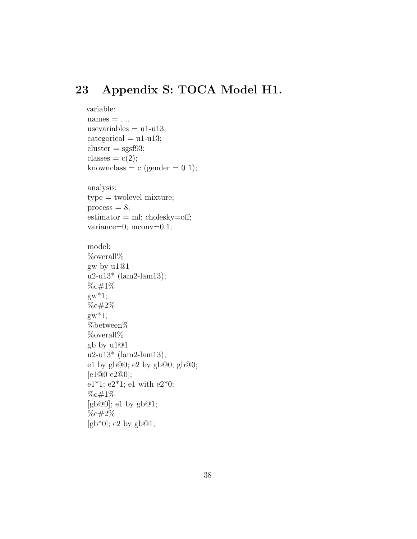#### 23 Appendix S: TOCA Model H1.

```
variable:
names = \ldotsusevariables = u1-u13;
categorical = u1-u13;cluster = sgsf93;classes = c(2);
knownclass = c (gender = 0 1);
analysis:
type = twolevel mixture;
process = 8;
estimator = ml; cholesky = off;variance=0; mconv=0.1;
model:
%overall%
gw by u1@1
u2-u13* (lam2-lam13);
%c#1%
gw^*1;%c#2%
gw^*1;%between%
%overall%
gb by u1@1
u2-u13* (lam2-lam13);
e1 by gb@0; e2 by gb@0; gb@0;[e1@0 e2@0];
e1*1; e2*1; e1 with e2*0;
%c#1%
[gb@0]; e1 by gb@1;
\%c\#2\%[gb*0]; e2 by gb@1;
```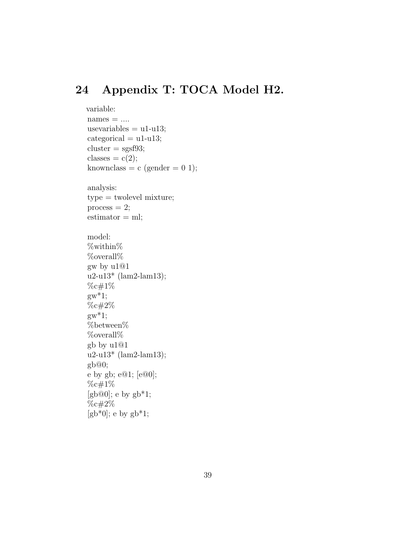## 24 Appendix T: TOCA Model H2.

```
variable:
names = \ldotsusevariables = u1-u13;
categorical = u1-u13;cluster = sgsf93;classes =c(2);knownclass = c (gender = 0 1);
analysis:
type = twolevel mixture;
process = 2;
estimator = ml;model:
%within%
%overall%
gw by u1@1
u2-u13* (lam2-lam13);
%c#1%
gw^*1;%c#2%
gw^*1;%between%
%overall%
gb by u1@1
u2-u13* (lam2-lam13);
gb@0;
e by gb; e@1; [e@0];
%c#1%
[gb@0]; e by gb*1;
\%c#2\%[gb*0]; e by gb*1;
```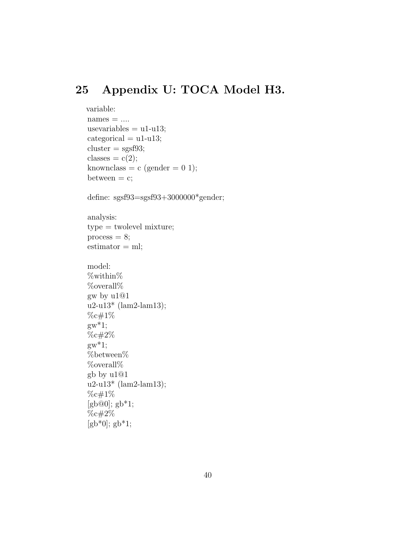# 25 Appendix U: TOCA Model H3.

```
variable:
names = \ldotsusevariables = u1-u13;
categorical = u1-u13;cluster = sgsf93;classes =c(2);knownclass = c (gender = 0 1);
between = c;define: sgsf93=sgsf93+3000000*gender;
analysis:
type = twolevel mixture;
process = 8;estimator = ml;model:
%within%
%overall%
gw by u1@1
u2-u13* (lam2-lam13);
%c#1%
gw^*1;%c#2%
gw^*1;%between%
\%overall\%gb by u1@1
u2-u13* (lam2-lam13);
%c#1%
[gb@0]; gb*1;
%c#2%
[gb*0]; gb*1;
```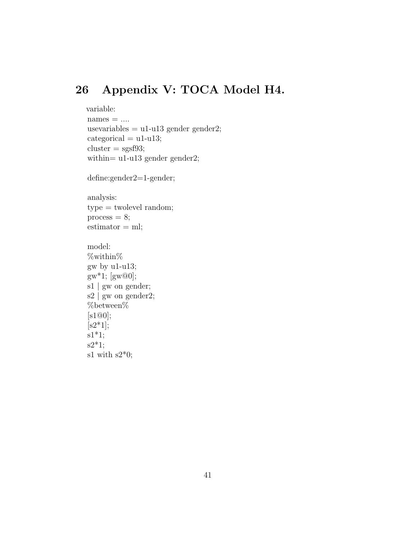#### 26 Appendix V: TOCA Model H4.

```
variable:
names = \ldotsusevariables = u1-u13 gender gender2;
categorical = u1-u13;cluster = sgsf93;within= u1-u13 gender gender2;
```

```
define:gender2=1-gender;
```
analysis: type = twolevel random;  $process = 8;$  $estimator = ml;$ 

```
model:
%within%
gw by u1-u13;
gw^*1; [gw@0];
s1 | gw on gender;
s2 | gw on gender2;
%between%
[s1@0];
[s2*1];s1*1;s2*1;
s1 with s2*0;
```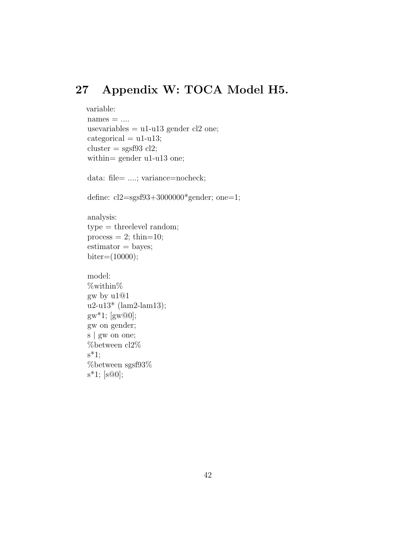#### 27 Appendix W: TOCA Model H5.

```
variable:
names = \ldotsusevariables = u1-u13 gender cl2 one;
categorical = u1-u13;cluster = sgsf93 cl2;within= gender u1-u13 one;
data: file= ....; variance=nocheck;
define: cl2=sgsf93+3000000*gender; one=1;
analysis:
type = threelevel random;
process = 2; thin=10;
estimator = bayes;biter=(10000);model:
%within%
gw by u1@1
u2-u13* (lam2-lam13);
gw^*1; [gw@0];
gw on gender;
s | gw on one;
%between cl2%
s^*1;
%between sgsf93%
s*1; [s@0];
```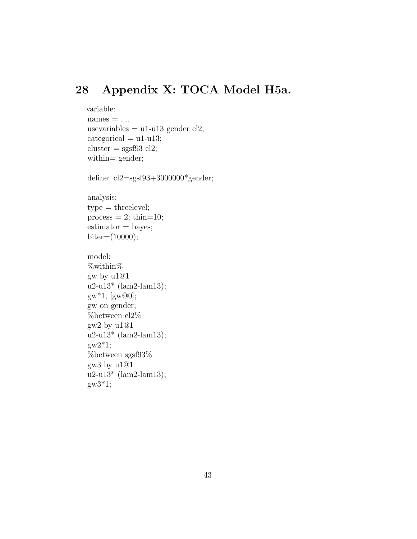# 28 Appendix X: TOCA Model H5a.

```
variable:
names = \ldotsusevariables = u1-u13 gender cl2;
categorical = u1-u13;cluster = sgsf93 cl2;within= gender;
```
define: cl2=sgsf93+3000000\*gender;

analysis:  $type = threelevel;$  $process = 2$ ; thin=10;  $estimator = bayes;$ biter=(10000);

```
model:
%within%
gw by u1@1
u2-u13* (lam2-lam13);
gw^*1; [gw@0];
gw on gender;
%between cl2%
gw2 by u1@1
u2-u13* (lam2-lam13);
g w 2^* 1;%between sgsf93%
gw3 by u1@1
u2-u13* (lam2-lam13);
g_{W}3*1;
```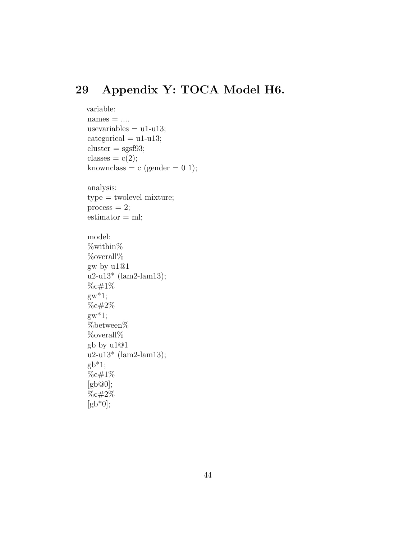## 29 Appendix Y: TOCA Model H6.

```
variable:
names = \dotsusevariables = u1-u13;
categorical = u1-u13;cluster = sgsf93;classes =c(2);knownclass = c (gender = 0 1);
analysis:
type = twolevel mixture;
process = 2;
estimator = ml;model:
%within%
%overall%
gw by u1@1
u2-u13* (lam2-lam13);
%c#1%
gw^*1;%c#2%
gw^*1;%between%
%overall%
gb by u1@1
u2-u13* (lam2-lam13);
gb*1;%c#1%
[gb@0];
%c#2%
[gb*0];
```